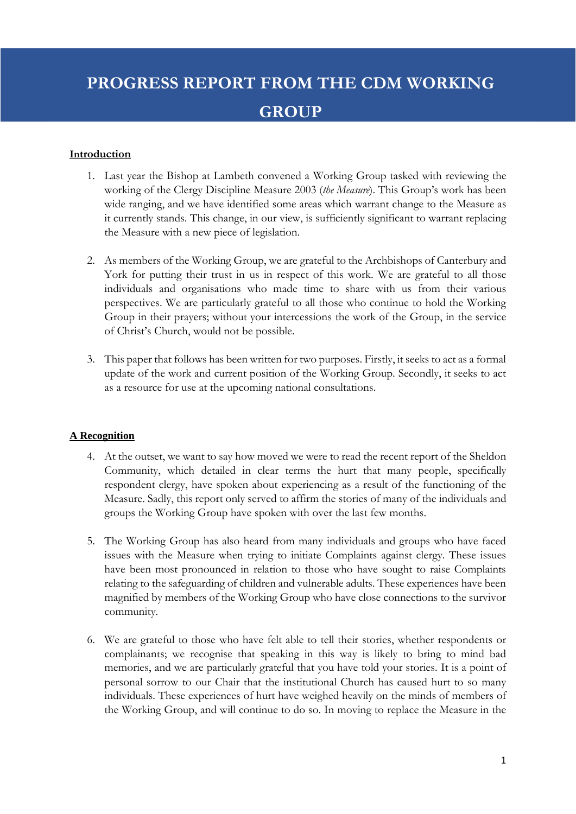# **PROGRESS REPORT FROM THE CDM WORKING GROUP**

#### **Introduction**

- 1. Last year the Bishop at Lambeth convened a Working Group tasked with reviewing the working of the Clergy Discipline Measure 2003 (*the Measure*). This Group's work has been wide ranging, and we have identified some areas which warrant change to the Measure as it currently stands. This change, in our view, is sufficiently significant to warrant replacing the Measure with a new piece of legislation.
- 2. As members of the Working Group, we are grateful to the Archbishops of Canterbury and York for putting their trust in us in respect of this work. We are grateful to all those individuals and organisations who made time to share with us from their various perspectives. We are particularly grateful to all those who continue to hold the Working Group in their prayers; without your intercessions the work of the Group, in the service of Christ's Church, would not be possible.
- 3. This paper that follows has been written for two purposes. Firstly, it seeks to act as a formal update of the work and current position of the Working Group. Secondly, it seeks to act as a resource for use at the upcoming national consultations.

#### **A Recognition**

- 4. At the outset, we want to say how moved we were to read the recent report of the Sheldon Community, which detailed in clear terms the hurt that many people, specifically respondent clergy, have spoken about experiencing as a result of the functioning of the Measure. Sadly, this report only served to affirm the stories of many of the individuals and groups the Working Group have spoken with over the last few months.
- 5. The Working Group has also heard from many individuals and groups who have faced issues with the Measure when trying to initiate Complaints against clergy. These issues have been most pronounced in relation to those who have sought to raise Complaints relating to the safeguarding of children and vulnerable adults. These experiences have been magnified by members of the Working Group who have close connections to the survivor community.
- 6. We are grateful to those who have felt able to tell their stories, whether respondents or complainants; we recognise that speaking in this way is likely to bring to mind bad memories, and we are particularly grateful that you have told your stories. It is a point of personal sorrow to our Chair that the institutional Church has caused hurt to so many individuals. These experiences of hurt have weighed heavily on the minds of members of the Working Group, and will continue to do so. In moving to replace the Measure in the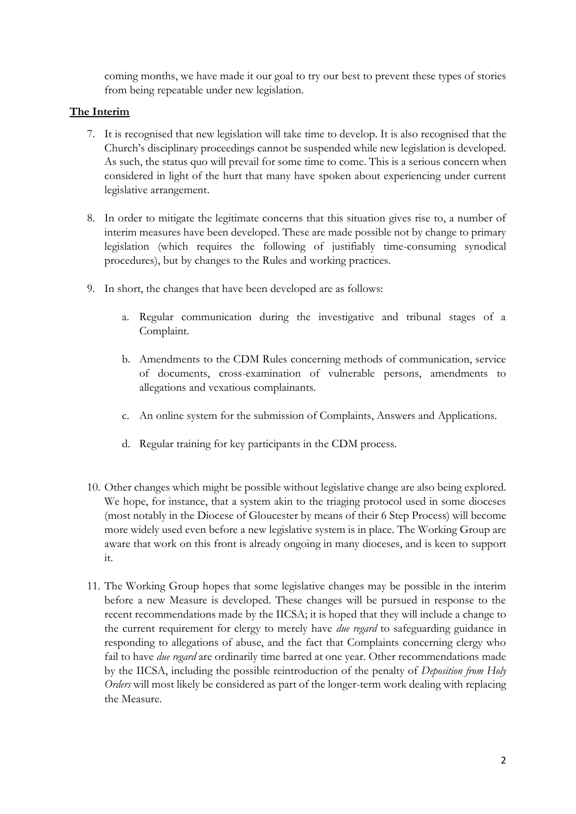coming months, we have made it our goal to try our best to prevent these types of stories from being repeatable under new legislation.

# **The Interim**

- 7. It is recognised that new legislation will take time to develop. It is also recognised that the Church's disciplinary proceedings cannot be suspended while new legislation is developed. As such, the status quo will prevail for some time to come. This is a serious concern when considered in light of the hurt that many have spoken about experiencing under current legislative arrangement.
- 8. In order to mitigate the legitimate concerns that this situation gives rise to, a number of interim measures have been developed. These are made possible not by change to primary legislation (which requires the following of justifiably time-consuming synodical procedures), but by changes to the Rules and working practices.
- 9. In short, the changes that have been developed are as follows:
	- a. Regular communication during the investigative and tribunal stages of a Complaint.
	- b. Amendments to the CDM Rules concerning methods of communication, service of documents, cross-examination of vulnerable persons, amendments to allegations and vexatious complainants.
	- c. An online system for the submission of Complaints, Answers and Applications.
	- d. Regular training for key participants in the CDM process.
- 10. Other changes which might be possible without legislative change are also being explored. We hope, for instance, that a system akin to the triaging protocol used in some dioceses (most notably in the Diocese of Gloucester by means of their 6 Step Process) will become more widely used even before a new legislative system is in place. The Working Group are aware that work on this front is already ongoing in many dioceses, and is keen to support it.
- 11. The Working Group hopes that some legislative changes may be possible in the interim before a new Measure is developed. These changes will be pursued in response to the recent recommendations made by the IICSA; it is hoped that they will include a change to the current requirement for clergy to merely have *due regard* to safeguarding guidance in responding to allegations of abuse, and the fact that Complaints concerning clergy who fail to have *due regard* are ordinarily time barred at one year. Other recommendations made by the IICSA, including the possible reintroduction of the penalty of *Deposition from Holy Orders* will most likely be considered as part of the longer-term work dealing with replacing the Measure.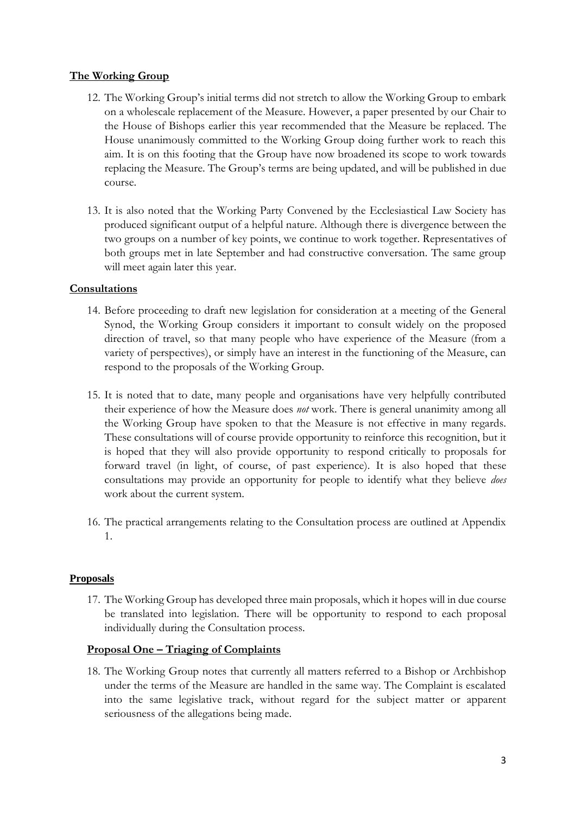## **The Working Group**

- 12. The Working Group's initial terms did not stretch to allow the Working Group to embark on a wholescale replacement of the Measure. However, a paper presented by our Chair to the House of Bishops earlier this year recommended that the Measure be replaced. The House unanimously committed to the Working Group doing further work to reach this aim. It is on this footing that the Group have now broadened its scope to work towards replacing the Measure. The Group's terms are being updated, and will be published in due course.
- 13. It is also noted that the Working Party Convened by the Ecclesiastical Law Society has produced significant output of a helpful nature. Although there is divergence between the two groups on a number of key points, we continue to work together. Representatives of both groups met in late September and had constructive conversation. The same group will meet again later this year.

#### **Consultations**

- 14. Before proceeding to draft new legislation for consideration at a meeting of the General Synod, the Working Group considers it important to consult widely on the proposed direction of travel, so that many people who have experience of the Measure (from a variety of perspectives), or simply have an interest in the functioning of the Measure, can respond to the proposals of the Working Group.
- 15. It is noted that to date, many people and organisations have very helpfully contributed their experience of how the Measure does *not* work. There is general unanimity among all the Working Group have spoken to that the Measure is not effective in many regards. These consultations will of course provide opportunity to reinforce this recognition, but it is hoped that they will also provide opportunity to respond critically to proposals for forward travel (in light, of course, of past experience). It is also hoped that these consultations may provide an opportunity for people to identify what they believe *does*  work about the current system.
- 16. The practical arrangements relating to the Consultation process are outlined at Appendix 1.

#### **Proposals**

17. The Working Group has developed three main proposals, which it hopes will in due course be translated into legislation. There will be opportunity to respond to each proposal individually during the Consultation process.

#### **Proposal One – Triaging of Complaints**

18. The Working Group notes that currently all matters referred to a Bishop or Archbishop under the terms of the Measure are handled in the same way. The Complaint is escalated into the same legislative track, without regard for the subject matter or apparent seriousness of the allegations being made.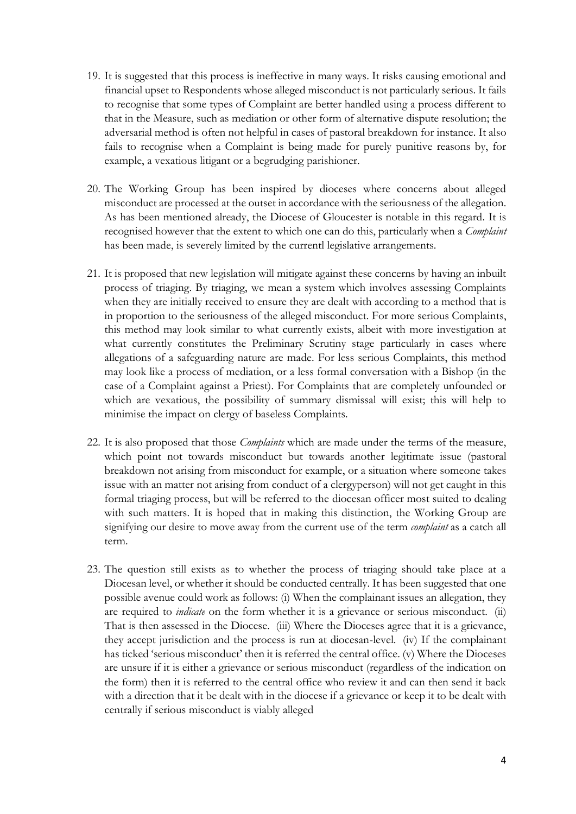- 19. It is suggested that this process is ineffective in many ways. It risks causing emotional and financial upset to Respondents whose alleged misconduct is not particularly serious. It fails to recognise that some types of Complaint are better handled using a process different to that in the Measure, such as mediation or other form of alternative dispute resolution; the adversarial method is often not helpful in cases of pastoral breakdown for instance. It also fails to recognise when a Complaint is being made for purely punitive reasons by, for example, a vexatious litigant or a begrudging parishioner.
- 20. The Working Group has been inspired by dioceses where concerns about alleged misconduct are processed at the outset in accordance with the seriousness of the allegation. As has been mentioned already, the Diocese of Gloucester is notable in this regard. It is recognised however that the extent to which one can do this, particularly when a *Complaint* has been made, is severely limited by the currentl legislative arrangements.
- 21. It is proposed that new legislation will mitigate against these concerns by having an inbuilt process of triaging. By triaging, we mean a system which involves assessing Complaints when they are initially received to ensure they are dealt with according to a method that is in proportion to the seriousness of the alleged misconduct. For more serious Complaints, this method may look similar to what currently exists, albeit with more investigation at what currently constitutes the Preliminary Scrutiny stage particularly in cases where allegations of a safeguarding nature are made. For less serious Complaints, this method may look like a process of mediation, or a less formal conversation with a Bishop (in the case of a Complaint against a Priest). For Complaints that are completely unfounded or which are vexatious, the possibility of summary dismissal will exist; this will help to minimise the impact on clergy of baseless Complaints.
- 22. It is also proposed that those *Complaints* which are made under the terms of the measure, which point not towards misconduct but towards another legitimate issue (pastoral breakdown not arising from misconduct for example, or a situation where someone takes issue with an matter not arising from conduct of a clergyperson) will not get caught in this formal triaging process, but will be referred to the diocesan officer most suited to dealing with such matters. It is hoped that in making this distinction, the Working Group are signifying our desire to move away from the current use of the term *complaint* as a catch all term.
- 23. The question still exists as to whether the process of triaging should take place at a Diocesan level, or whether it should be conducted centrally. It has been suggested that one possible avenue could work as follows: (i) When the complainant issues an allegation, they are required to *indicate* on the form whether it is a grievance or serious misconduct. (ii) That is then assessed in the Diocese. (iii) Where the Dioceses agree that it is a grievance, they accept jurisdiction and the process is run at diocesan-level. (iv) If the complainant has ticked 'serious misconduct' then it is referred the central office. (v) Where the Dioceses are unsure if it is either a grievance or serious misconduct (regardless of the indication on the form) then it is referred to the central office who review it and can then send it back with a direction that it be dealt with in the diocese if a grievance or keep it to be dealt with centrally if serious misconduct is viably alleged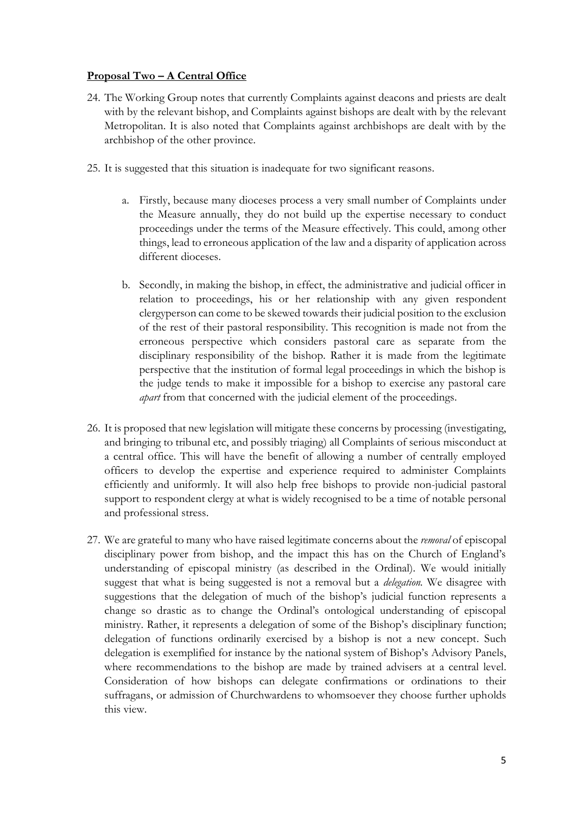## **Proposal Two – A Central Office**

- 24. The Working Group notes that currently Complaints against deacons and priests are dealt with by the relevant bishop, and Complaints against bishops are dealt with by the relevant Metropolitan. It is also noted that Complaints against archbishops are dealt with by the archbishop of the other province.
- 25. It is suggested that this situation is inadequate for two significant reasons.
	- a. Firstly, because many dioceses process a very small number of Complaints under the Measure annually, they do not build up the expertise necessary to conduct proceedings under the terms of the Measure effectively. This could, among other things, lead to erroneous application of the law and a disparity of application across different dioceses.
	- b. Secondly, in making the bishop, in effect, the administrative and judicial officer in relation to proceedings, his or her relationship with any given respondent clergyperson can come to be skewed towards their judicial position to the exclusion of the rest of their pastoral responsibility. This recognition is made not from the erroneous perspective which considers pastoral care as separate from the disciplinary responsibility of the bishop. Rather it is made from the legitimate perspective that the institution of formal legal proceedings in which the bishop is the judge tends to make it impossible for a bishop to exercise any pastoral care *apart* from that concerned with the judicial element of the proceedings.
- 26. It is proposed that new legislation will mitigate these concerns by processing (investigating, and bringing to tribunal etc, and possibly triaging) all Complaints of serious misconduct at a central office. This will have the benefit of allowing a number of centrally employed officers to develop the expertise and experience required to administer Complaints efficiently and uniformly. It will also help free bishops to provide non-judicial pastoral support to respondent clergy at what is widely recognised to be a time of notable personal and professional stress.
- 27. We are grateful to many who have raised legitimate concerns about the *removal* of episcopal disciplinary power from bishop, and the impact this has on the Church of England's understanding of episcopal ministry (as described in the Ordinal). We would initially suggest that what is being suggested is not a removal but a *delegation.* We disagree with suggestions that the delegation of much of the bishop's judicial function represents a change so drastic as to change the Ordinal's ontological understanding of episcopal ministry. Rather, it represents a delegation of some of the Bishop's disciplinary function; delegation of functions ordinarily exercised by a bishop is not a new concept. Such delegation is exemplified for instance by the national system of Bishop's Advisory Panels, where recommendations to the bishop are made by trained advisers at a central level. Consideration of how bishops can delegate confirmations or ordinations to their suffragans, or admission of Churchwardens to whomsoever they choose further upholds this view.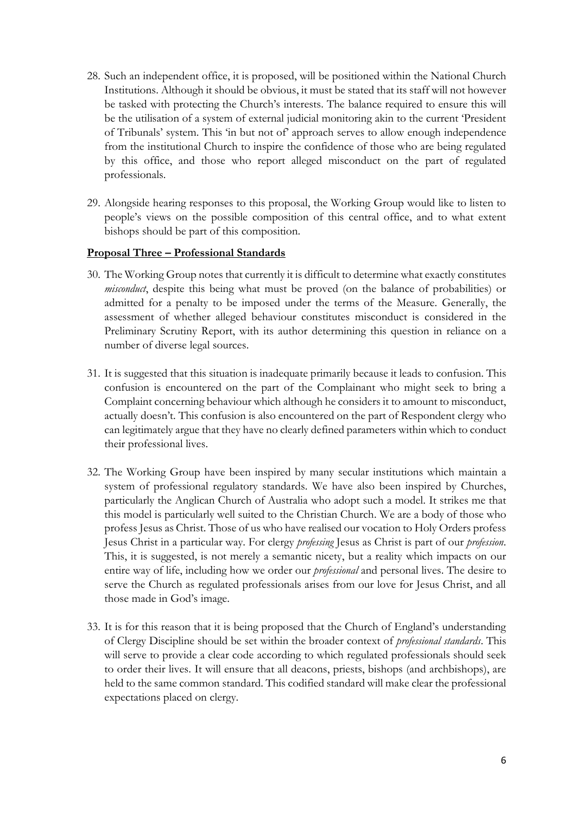- 28. Such an independent office, it is proposed, will be positioned within the National Church Institutions. Although it should be obvious, it must be stated that its staff will not however be tasked with protecting the Church's interests. The balance required to ensure this will be the utilisation of a system of external judicial monitoring akin to the current 'President of Tribunals' system. This 'in but not of' approach serves to allow enough independence from the institutional Church to inspire the confidence of those who are being regulated by this office, and those who report alleged misconduct on the part of regulated professionals.
- 29. Alongside hearing responses to this proposal, the Working Group would like to listen to people's views on the possible composition of this central office, and to what extent bishops should be part of this composition.

#### **Proposal Three – Professional Standards**

- 30. The Working Group notes that currently it is difficult to determine what exactly constitutes *misconduct*, despite this being what must be proved (on the balance of probabilities) or admitted for a penalty to be imposed under the terms of the Measure. Generally, the assessment of whether alleged behaviour constitutes misconduct is considered in the Preliminary Scrutiny Report, with its author determining this question in reliance on a number of diverse legal sources.
- 31. It is suggested that this situation is inadequate primarily because it leads to confusion. This confusion is encountered on the part of the Complainant who might seek to bring a Complaint concerning behaviour which although he considers it to amount to misconduct, actually doesn't. This confusion is also encountered on the part of Respondent clergy who can legitimately argue that they have no clearly defined parameters within which to conduct their professional lives.
- 32. The Working Group have been inspired by many secular institutions which maintain a system of professional regulatory standards. We have also been inspired by Churches, particularly the Anglican Church of Australia who adopt such a model. It strikes me that this model is particularly well suited to the Christian Church. We are a body of those who profess Jesus as Christ. Those of us who have realised our vocation to Holy Orders profess Jesus Christ in a particular way. For clergy *professing* Jesus as Christ is part of our *profession*. This, it is suggested, is not merely a semantic nicety, but a reality which impacts on our entire way of life, including how we order our *professional* and personal lives. The desire to serve the Church as regulated professionals arises from our love for Jesus Christ, and all those made in God's image.
- 33. It is for this reason that it is being proposed that the Church of England's understanding of Clergy Discipline should be set within the broader context of *professional standards*. This will serve to provide a clear code according to which regulated professionals should seek to order their lives. It will ensure that all deacons, priests, bishops (and archbishops), are held to the same common standard. This codified standard will make clear the professional expectations placed on clergy.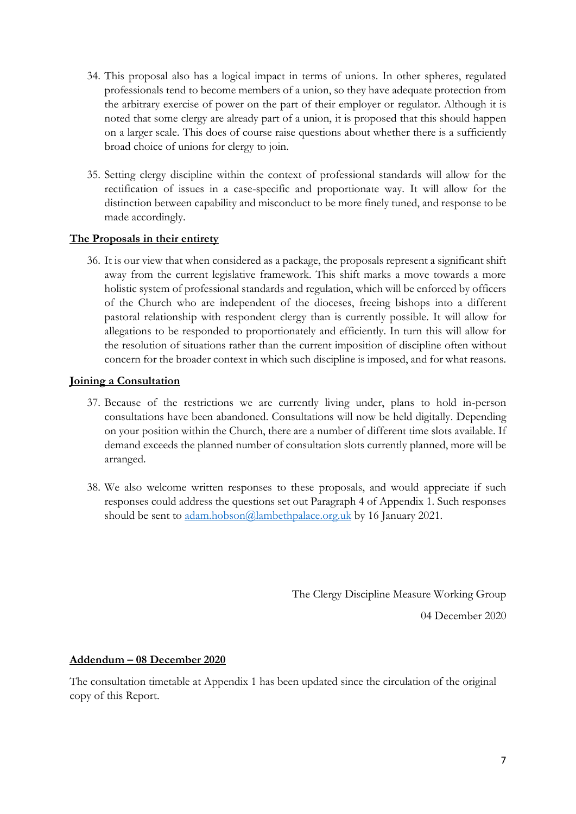- 34. This proposal also has a logical impact in terms of unions. In other spheres, regulated professionals tend to become members of a union, so they have adequate protection from the arbitrary exercise of power on the part of their employer or regulator. Although it is noted that some clergy are already part of a union, it is proposed that this should happen on a larger scale. This does of course raise questions about whether there is a sufficiently broad choice of unions for clergy to join.
- 35. Setting clergy discipline within the context of professional standards will allow for the rectification of issues in a case-specific and proportionate way. It will allow for the distinction between capability and misconduct to be more finely tuned, and response to be made accordingly.

#### **The Proposals in their entirety**

36. It is our view that when considered as a package, the proposals represent a significant shift away from the current legislative framework. This shift marks a move towards a more holistic system of professional standards and regulation, which will be enforced by officers of the Church who are independent of the dioceses, freeing bishops into a different pastoral relationship with respondent clergy than is currently possible. It will allow for allegations to be responded to proportionately and efficiently. In turn this will allow for the resolution of situations rather than the current imposition of discipline often without concern for the broader context in which such discipline is imposed, and for what reasons.

## **Joining a Consultation**

- 37. Because of the restrictions we are currently living under, plans to hold in-person consultations have been abandoned. Consultations will now be held digitally. Depending on your position within the Church, there are a number of different time slots available. If demand exceeds the planned number of consultation slots currently planned, more will be arranged.
- 38. We also welcome written responses to these proposals, and would appreciate if such responses could address the questions set out Paragraph 4 of Appendix 1. Such responses should be sent to [adam.hobson@lambethpalace.org.uk](mailto:adam.hobson@lambethpalace.org.uk) by 16 January 2021.

The Clergy Discipline Measure Working Group

04 December 2020

#### **Addendum – 08 December 2020**

The consultation timetable at Appendix 1 has been updated since the circulation of the original copy of this Report.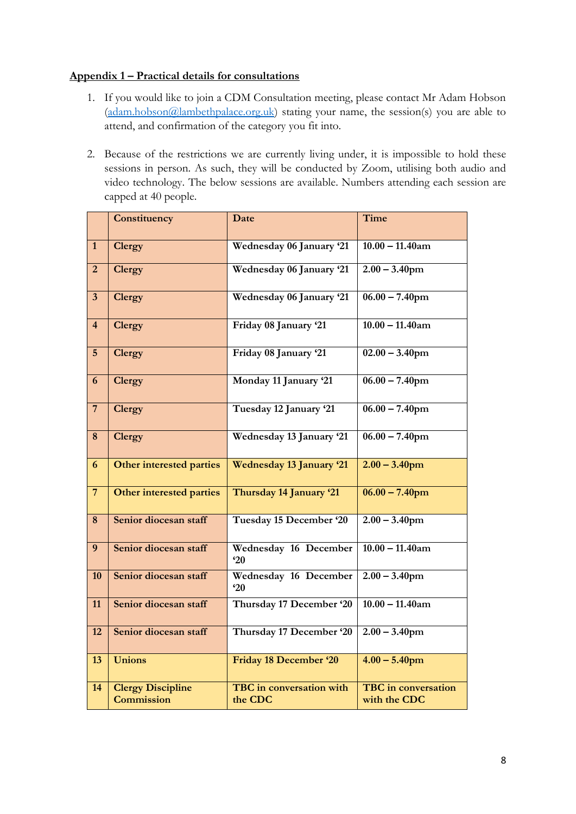# **Appendix 1 – Practical details for consultations**

- 1. If you would like to join a CDM Consultation meeting, please contact Mr Adam Hobson [\(adam.hobson@lambethpalace.org.uk\)](mailto:adam.hobson@lambethpalace.org.uk) stating your name, the session(s) you are able to attend, and confirmation of the category you fit into.
- 2. Because of the restrictions we are currently living under, it is impossible to hold these sessions in person. As such, they will be conducted by Zoom, utilising both audio and video technology. The below sessions are available. Numbers attending each session are capped at 40 people.

|                         | Constituency                                  | Date                                       | Time                                       |
|-------------------------|-----------------------------------------------|--------------------------------------------|--------------------------------------------|
| $\mathbf{1}$            | <b>Clergy</b>                                 | Wednesday 06 January '21                   | $10.00 - 11.40$ am                         |
| $\overline{2}$          | <b>Clergy</b>                                 | Wednesday 06 January '21                   | $2.00 - 3.40$ pm                           |
| $\overline{\mathbf{3}}$ | <b>Clergy</b>                                 | Wednesday 06 January '21                   | $06.00 - 7.40$ pm                          |
| $\overline{4}$          | <b>Clergy</b>                                 | Friday 08 January '21                      | $10.00 - 11.40$ am                         |
| $5\phantom{.}$          | <b>Clergy</b>                                 | Friday 08 January '21                      | $02.00 - 3.40$ pm                          |
| 6                       | <b>Clergy</b>                                 | Monday 11 January '21                      | $06.00 - 7.40$ pm                          |
| $\overline{7}$          | <b>Clergy</b>                                 | Tuesday 12 January '21                     | $06.00 - 7.40$ pm                          |
| 8                       | <b>Clergy</b>                                 | Wednesday 13 January '21                   | $06.00 - 7.40$ pm                          |
| $\boldsymbol{6}$        | <b>Other interested parties</b>               | <b>Wednesday 13 January '21</b>            | $2.00 - 3.40$ pm                           |
| $\overline{7}$          | Other interested parties                      | Thursday 14 January '21                    | $06.00 - 7.40$ pm                          |
| 8                       | Senior diocesan staff                         | Tuesday 15 December '20                    | $2.00 - 3.40$ pm                           |
| 9                       | Senior diocesan staff                         | Wednesday 16 December<br>20                | $10.00 - 11.40$ am                         |
| 10                      | Senior diocesan staff                         | Wednesday 16 December<br>20                | $2.00 - 3.40$ pm                           |
| 11                      | Senior diocesan staff                         | Thursday 17 December '20                   | $10.00 - 11.40$ am                         |
| 12                      | Senior diocesan staff                         | Thursday 17 December '20                   | $2.00 - 3.40$ pm                           |
| 13                      | <b>Unions</b>                                 | <b>Friday 18 December '20</b>              | $4.00 - 5.40$ pm                           |
| 14                      | <b>Clergy Discipline</b><br><b>Commission</b> | <b>TBC</b> in conversation with<br>the CDC | <b>TBC</b> in conversation<br>with the CDC |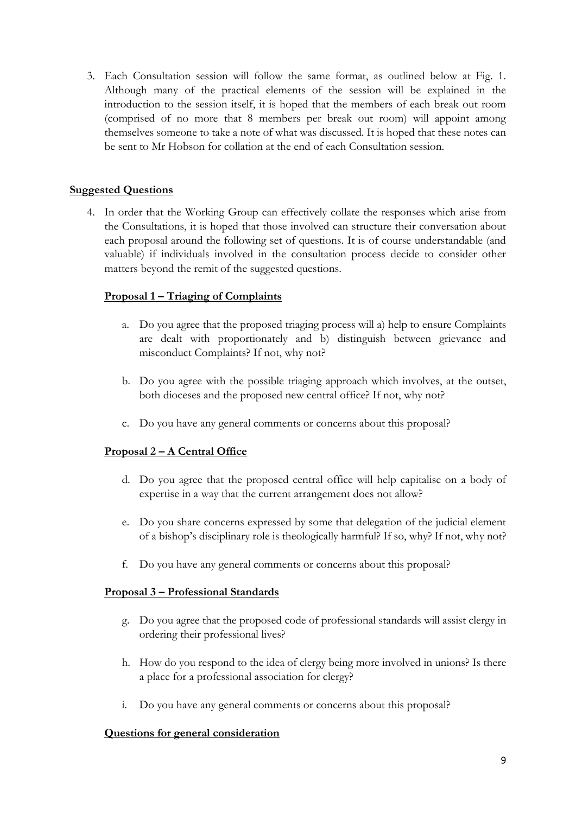3. Each Consultation session will follow the same format, as outlined below at Fig. 1. Although many of the practical elements of the session will be explained in the introduction to the session itself, it is hoped that the members of each break out room (comprised of no more that 8 members per break out room) will appoint among themselves someone to take a note of what was discussed. It is hoped that these notes can be sent to Mr Hobson for collation at the end of each Consultation session.

# **Suggested Questions**

4. In order that the Working Group can effectively collate the responses which arise from the Consultations, it is hoped that those involved can structure their conversation about each proposal around the following set of questions. It is of course understandable (and valuable) if individuals involved in the consultation process decide to consider other matters beyond the remit of the suggested questions.

## **Proposal 1 – Triaging of Complaints**

- a. Do you agree that the proposed triaging process will a) help to ensure Complaints are dealt with proportionately and b) distinguish between grievance and misconduct Complaints? If not, why not?
- b. Do you agree with the possible triaging approach which involves, at the outset, both dioceses and the proposed new central office? If not, why not?
- c. Do you have any general comments or concerns about this proposal?

# **Proposal 2 – A Central Office**

- d. Do you agree that the proposed central office will help capitalise on a body of expertise in a way that the current arrangement does not allow?
- e. Do you share concerns expressed by some that delegation of the judicial element of a bishop's disciplinary role is theologically harmful? If so, why? If not, why not?
- f. Do you have any general comments or concerns about this proposal?

#### **Proposal 3 – Professional Standards**

- g. Do you agree that the proposed code of professional standards will assist clergy in ordering their professional lives?
- h. How do you respond to the idea of clergy being more involved in unions? Is there a place for a professional association for clergy?
- i. Do you have any general comments or concerns about this proposal?

#### **Questions for general consideration**